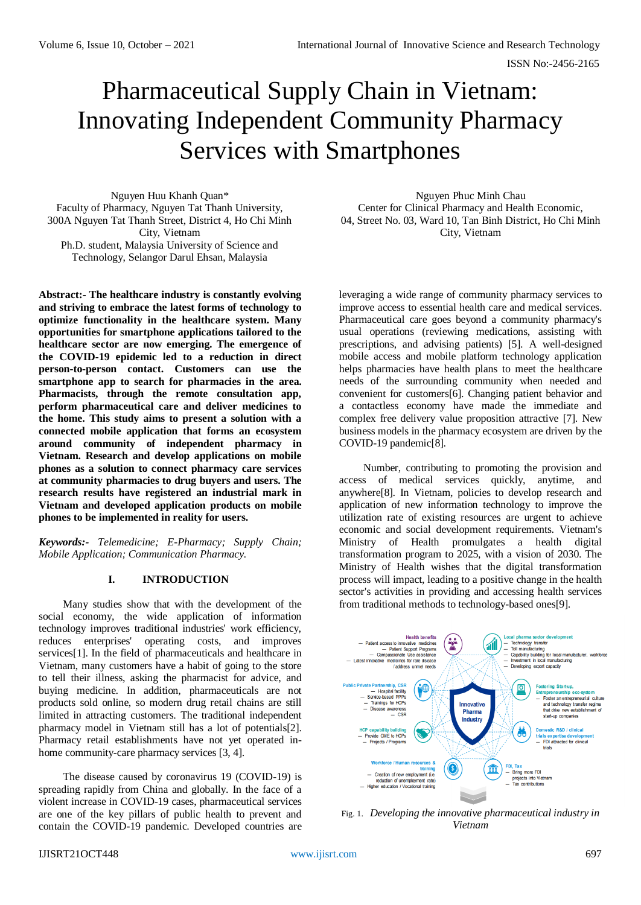# Pharmaceutical Supply Chain in Vietnam: Innovating Independent Community Pharmacy Services with Smartphones

Nguyen Huu Khanh Quan\* Faculty of Pharmacy, Nguyen Tat Thanh University, 300A Nguyen Tat Thanh Street, District 4, Ho Chi Minh City, Vietnam Ph.D. student, Malaysia University of Science and Technology, Selangor Darul Ehsan, Malaysia

**Abstract:- The healthcare industry is constantly evolving and striving to embrace the latest forms of technology to optimize functionality in the healthcare system. Many opportunities for smartphone applications tailored to the healthcare sector are now emerging. The emergence of the COVID-19 epidemic led to a reduction in direct person-to-person contact. Customers can use the smartphone app to search for pharmacies in the area. Pharmacists, through the remote consultation app, perform pharmaceutical care and deliver medicines to the home. This study aims to present a solution with a connected mobile application that forms an ecosystem around community of independent pharmacy in Vietnam. Research and develop applications on mobile phones as a solution to connect pharmacy care services at community pharmacies to drug buyers and users. The research results have registered an industrial mark in Vietnam and developed application products on mobile phones to be implemented in reality for users.**

*Keywords:- Telemedicine; E-Pharmacy; Supply Chain; Mobile Application; Communication Pharmacy.*

# **I. INTRODUCTION**

Many studies show that with the development of the social economy, the wide application of information technology improves traditional industries' work efficiency, reduces enterprises' operating costs, and improves services[1]. In the field of pharmaceuticals and healthcare in Vietnam, many customers have a habit of going to the store to tell their illness, asking the pharmacist for advice, and buying medicine. In addition, pharmaceuticals are not products sold online, so modern drug retail chains are still limited in attracting customers. The traditional independent pharmacy model in Vietnam still has a lot of potentials[2]. Pharmacy retail establishments have not yet operated inhome community-care pharmacy services [3, 4].

The disease caused by coronavirus 19 (COVID-19) is spreading rapidly from China and globally. In the face of a violent increase in COVID-19 cases, pharmaceutical services are one of the key pillars of public health to prevent and contain the COVID-19 pandemic. Developed countries are

Nguyen Phuc Minh Chau Center for Clinical Pharmacy and Health Economic, 04, Street No. 03, Ward 10, Tan Binh District, Ho Chi Minh City, Vietnam

leveraging a wide range of community pharmacy services to improve access to essential health care and medical services. Pharmaceutical care goes beyond a community pharmacy's usual operations (reviewing medications, assisting with prescriptions, and advising patients) [5]. A well-designed mobile access and mobile platform technology application helps pharmacies have health plans to meet the healthcare needs of the surrounding community when needed and convenient for customers[6]. Changing patient behavior and a contactless economy have made the immediate and complex free delivery value proposition attractive [7]. New business models in the pharmacy ecosystem are driven by the COVID-19 pandemic[8].

Number, contributing to promoting the provision and access of medical services quickly, anytime, and anywhere[8]. In Vietnam, policies to develop research and application of new information technology to improve the utilization rate of existing resources are urgent to achieve economic and social development requirements. Vietnam's Ministry of Health promulgates a health digital transformation program to 2025, with a vision of 2030. The Ministry of Health wishes that the digital transformation process will impact, leading to a positive change in the health sector's activities in providing and accessing health services from traditional methods to technology-based ones[9].



Fig. 1. *Developing the innovative pharmaceutical industry in Vietnam*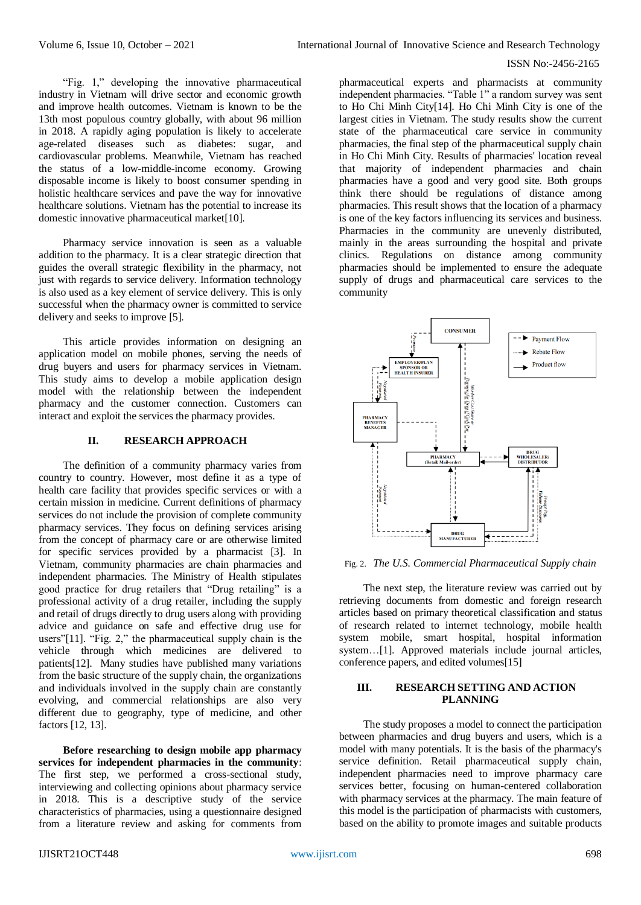"Fig. 1," developing the innovative pharmaceutical industry in Vietnam will drive sector and economic growth and improve health outcomes. Vietnam is known to be the 13th most populous country globally, with about 96 million in 2018. A rapidly aging population is likely to accelerate age-related diseases such as diabetes: sugar, and cardiovascular problems. Meanwhile, Vietnam has reached the status of a low-middle-income economy. Growing disposable income is likely to boost consumer spending in holistic healthcare services and pave the way for innovative healthcare solutions. Vietnam has the potential to increase its domestic innovative pharmaceutical market[10].

Pharmacy service innovation is seen as a valuable addition to the pharmacy. It is a clear strategic direction that guides the overall strategic flexibility in the pharmacy, not just with regards to service delivery. Information technology is also used as a key element of service delivery. This is only successful when the pharmacy owner is committed to service delivery and seeks to improve [5].

This article provides information on designing an application model on mobile phones, serving the needs of drug buyers and users for pharmacy services in Vietnam. This study aims to develop a mobile application design model with the relationship between the independent pharmacy and the customer connection. Customers can interact and exploit the services the pharmacy provides.

## **II. RESEARCH APPROACH**

The definition of a community pharmacy varies from country to country. However, most define it as a type of health care facility that provides specific services or with a certain mission in medicine. Current definitions of pharmacy services do not include the provision of complete community pharmacy services. They focus on defining services arising from the concept of pharmacy care or are otherwise limited for specific services provided by a pharmacist [3]. In Vietnam, community pharmacies are chain pharmacies and independent pharmacies. The Ministry of Health stipulates good practice for drug retailers that "Drug retailing" is a professional activity of a drug retailer, including the supply and retail of drugs directly to drug users along with providing advice and guidance on safe and effective drug use for users"[11]. "Fig. 2," the pharmaceutical supply chain is the vehicle through which medicines are delivered to patients[12]. Many studies have published many variations from the basic structure of the supply chain, the organizations and individuals involved in the supply chain are constantly evolving, and commercial relationships are also very different due to geography, type of medicine, and other factors [12, 13].

**Before researching to design mobile app pharmacy services for independent pharmacies in the community**: The first step, we performed a cross-sectional study, interviewing and collecting opinions about pharmacy service in 2018. This is a descriptive study of the service characteristics of pharmacies, using a questionnaire designed from a literature review and asking for comments from pharmaceutical experts and pharmacists at community independent pharmacies. "Table 1" a random survey was sent to Ho Chi Minh City[14]. Ho Chi Minh City is one of the largest cities in Vietnam. The study results show the current state of the pharmaceutical care service in community pharmacies, the final step of the pharmaceutical supply chain in Ho Chi Minh City. Results of pharmacies' location reveal that majority of independent pharmacies and chain pharmacies have a good and very good site. Both groups think there should be regulations of distance among pharmacies. This result shows that the location of a pharmacy is one of the key factors influencing its services and business. Pharmacies in the community are unevenly distributed, mainly in the areas surrounding the hospital and private clinics. Regulations on distance among community pharmacies should be implemented to ensure the adequate supply of drugs and pharmaceutical care services to the community



Fig. 2. *The U.S. Commercial Pharmaceutical Supply chain*

The next step, the literature review was carried out by retrieving documents from domestic and foreign research articles based on primary theoretical classification and status of research related to internet technology, mobile health system mobile, smart hospital, hospital information system…[1]. Approved materials include journal articles, conference papers, and edited volumes[15]

# **III. RESEARCH SETTING AND ACTION PLANNING**

The study proposes a model to connect the participation between pharmacies and drug buyers and users, which is a model with many potentials. It is the basis of the pharmacy's service definition. Retail pharmaceutical supply chain, independent pharmacies need to improve pharmacy care services better, focusing on human-centered collaboration with pharmacy services at the pharmacy. The main feature of this model is the participation of pharmacists with customers, based on the ability to promote images and suitable products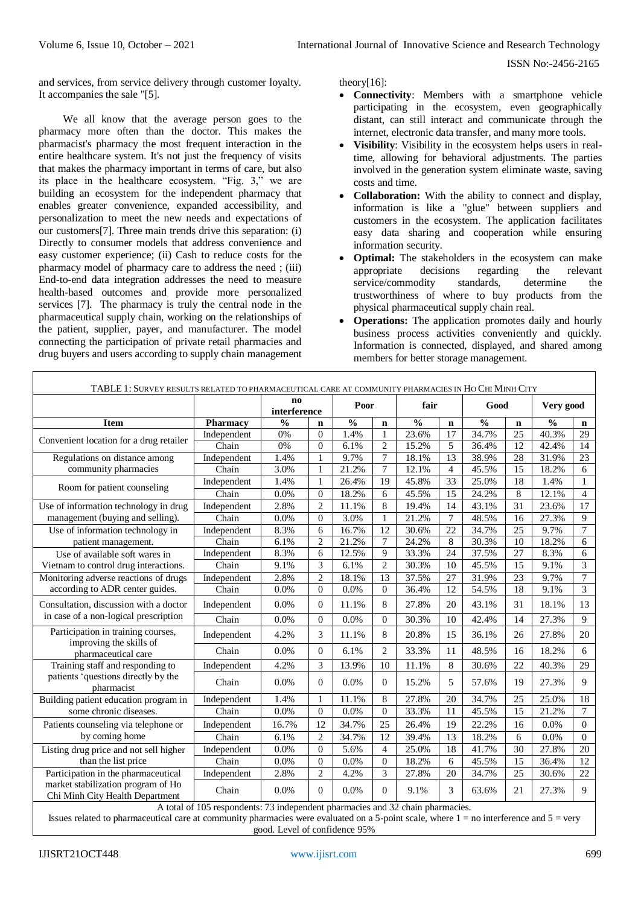and services, from service delivery through customer loyalty. It accompanies the sale "[5].

We all know that the average person goes to the pharmacy more often than the doctor. This makes the pharmacist's pharmacy the most frequent interaction in the entire healthcare system. It's not just the frequency of visits that makes the pharmacy important in terms of care, but also its place in the healthcare ecosystem. "Fig. 3," we are building an ecosystem for the independent pharmacy that enables greater convenience, expanded accessibility, and personalization to meet the new needs and expectations of our customers[7]. Three main trends drive this separation: (i) Directly to consumer models that address convenience and easy customer experience; (ii) Cash to reduce costs for the pharmacy model of pharmacy care to address the need ; (iii) End-to-end data integration addresses the need to measure health-based outcomes and provide more personalized services [7]. The pharmacy is truly the central node in the pharmaceutical supply chain, working on the relationships of the patient, supplier, payer, and manufacturer. The model connecting the participation of private retail pharmacies and drug buyers and users according to supply chain management theory[16]:

- **Connectivity**: Members with a smartphone vehicle participating in the ecosystem, even geographically distant, can still interact and communicate through the internet, electronic data transfer, and many more tools.
- **Visibility**: Visibility in the ecosystem helps users in realtime, allowing for behavioral adjustments. The parties involved in the generation system eliminate waste, saving costs and time.
- **Collaboration:** With the ability to connect and display, information is like a "glue" between suppliers and customers in the ecosystem. The application facilitates easy data sharing and cooperation while ensuring information security.
- **Optimal:** The stakeholders in the ecosystem can make appropriate decisions regarding the relevant service/commodity standards, determine the trustworthiness of where to buy products from the physical pharmaceutical supply chain real.
- **Operations:** The application promotes daily and hourly business process activities conveniently and quickly. Information is connected, displayed, and shared among members for better storage management.

| TABLE 1: SURVEY RESULTS RELATED TO PHARMACEUTICAL CARE AT COMMUNITY PHARMACIES IN HO CHI MINH CITY |                                                                                |                           |                |               |                          |                     |                |               |                 |               |                 |
|----------------------------------------------------------------------------------------------------|--------------------------------------------------------------------------------|---------------------------|----------------|---------------|--------------------------|---------------------|----------------|---------------|-----------------|---------------|-----------------|
|                                                                                                    |                                                                                | $\bf{no}$<br>interference |                | Poor          |                          | fair                |                | Good          |                 | Very good     |                 |
| <b>Item</b>                                                                                        | <b>Pharmacy</b>                                                                | $\frac{0}{0}$             | $\mathbf n$    | $\frac{0}{0}$ | $\mathbf n$              | $\frac{0}{0}$       | $\mathbf n$    | $\frac{0}{0}$ | $\mathbf n$     | $\frac{0}{0}$ | n               |
| Convenient location for a drug retailer                                                            | Independent                                                                    | 0%                        | $\overline{0}$ | 1.4%          |                          | 23.6%               | 17             | 34.7%         | 25              | 40.3%         | 29              |
|                                                                                                    | Chain                                                                          | 0%                        | $\overline{0}$ | 6.1%          | $\overline{c}$           | 15.2%               | 5              | 36.4%         | 12              | 42.4%         | 14              |
| Regulations on distance among                                                                      | Independent                                                                    | 1.4%                      | 1              | 9.7%          | 7                        | 18.1%               | 13             | 38.9%         | 28              | 31.9%         | 23              |
| community pharmacies                                                                               | Chain                                                                          | 3.0%                      | $\mathbf{1}$   | 21.2%         | 7                        | $12.\overline{1\%}$ | $\overline{4}$ | 45.5%         | 15              | 18.2%         | 6               |
| Room for patient counseling                                                                        | Independent                                                                    | 1.4%                      | $\mathbf{1}$   | 26.4%         | 19                       | 45.8%               | 33             | 25.0%         | 18              | 1.4%          | $\mathbf{1}$    |
|                                                                                                    | Chain                                                                          | 0.0%                      | $\overline{0}$ | 18.2%         | 6                        | 45.5%               | 15             | 24.2%         | 8               | 12.1%         | $\overline{4}$  |
| Use of information technology in drug<br>management (buying and selling).                          | Independent                                                                    | 2.8%                      | $\overline{c}$ | 11.1%         | 8                        | 19.4%               | 14             | 43.1%         | 31              | 23.6%         | 17              |
|                                                                                                    | Chain                                                                          | 0.0%                      | $\overline{0}$ | 3.0%          | 1                        | 21.2%               | 7              | 48.5%         | 16              | 27.3%         | 9               |
| Use of information technology in<br>patient management.                                            | Independent                                                                    | 8.3%                      | 6              | 16.7%         | 12                       | 30.6%               | 22             | 34.7%         | 25              | 9.7%          | $\overline{7}$  |
|                                                                                                    | Chain                                                                          | 6.1%                      | $\overline{c}$ | 21.2%         | 7                        | 24.2%               | 8              | 30.3%         | 10              | 18.2%         | 6               |
| Use of available soft wares in                                                                     | Independent                                                                    | 8.3%                      | 6              | 12.5%         | 9                        | 33.3%               | 24             | 37.5%         | 27              | 8.3%          | 6               |
| Vietnam to control drug interactions.                                                              | Chain                                                                          | 9.1%                      | 3              | 6.1%          | $\overline{c}$           | 30.3%               | 10             | 45.5%         | 15              | 9.1%          | 3               |
| Monitoring adverse reactions of drugs<br>according to ADR center guides.                           | Independent                                                                    | 2.8%                      | $\overline{2}$ | 18.1%         | 13                       | 37.5%               | 27             | 31.9%         | $\overline{23}$ | 9.7%          | 7               |
|                                                                                                    | Chain                                                                          | 0.0%                      | $\overline{0}$ | 0.0%          | $\theta$                 | 36.4%               | 12             | 54.5%         | 18              | 9.1%          | $\overline{3}$  |
| Consultation, discussion with a doctor<br>in case of a non-logical prescription                    | Independent                                                                    | 0.0%                      | $\Omega$       | 11.1%         | 8                        | 27.8%               | 20             | 43.1%         | 31              | 18.1%         | 13              |
|                                                                                                    | Chain                                                                          | 0.0%                      | $\Omega$       | 0.0%          | $\theta$                 | 30.3%               | 10             | 42.4%         | 14              | 27.3%         | 9               |
| Participation in training courses,<br>improving the skills of<br>pharmaceutical care               | Independent                                                                    | 4.2%                      | 3              | 11.1%         | 8                        | 20.8%               | 15             | 36.1%         | 26              | 27.8%         | 20              |
|                                                                                                    | Chain                                                                          | 0.0%                      | $\Omega$       | 6.1%          | $\overline{c}$           | 33.3%               | 11             | 48.5%         | 16              | 18.2%         | 6               |
| Training staff and responding to<br>patients 'questions directly by the<br>pharmacist              | Independent                                                                    | 4.2%                      | 3              | 13.9%         | 10                       | 11.1%               | 8              | 30.6%         | 22              | 40.3%         | 29              |
|                                                                                                    | Chain                                                                          | 0.0%                      | $\overline{0}$ | 0.0%          | $\Omega$                 | 15.2%               | 5              | 57.6%         | 19              | 27.3%         | 9               |
| Building patient education program in<br>some chronic diseases.                                    | Independent                                                                    | 1.4%                      | $\mathbf{1}$   | 11.1%         | 8                        | 27.8%               | 20             | 34.7%         | 25              | 25.0%         | 18              |
|                                                                                                    | Chain                                                                          | 0.0%                      | $\overline{0}$ | 0.0%          | $\overline{0}$           | 33.3%               | 11             | 45.5%         | 15              | 21.2%         | $\overline{7}$  |
| Patients counseling via telephone or                                                               | Independent                                                                    | 16.7%                     | 12             | 34.7%         | 25                       | 26.4%               | 19             | 22.2%         | 16              | 0.0%          | $\Omega$        |
| by coming home                                                                                     | Chain                                                                          | 6.1%                      | $\overline{2}$ | 34.7%         | 12                       | 39.4%               | 13             | 18.2%         | 6               | 0.0%          | $\overline{0}$  |
| Listing drug price and not sell higher<br>than the list price                                      | Independent                                                                    | 0.0%                      | $\overline{0}$ | 5.6%          | $\overline{\mathcal{L}}$ | 25.0%               | 18             | 41.7%         | 30              | 27.8%         | 20              |
|                                                                                                    | Chain                                                                          | 0.0%                      | $\Omega$       | 0.0%          | $\theta$                 | 18.2%               | 6              | 45.5%         | 15              | 36.4%         | 12              |
| Participation in the pharmaceutical                                                                | Independent                                                                    | 2.8%                      | $\overline{c}$ | 4.2%          | 3                        | 27.8%               | 20             | 34.7%         | 25              | 30.6%         | $\overline{22}$ |
| market stabilization program of Ho<br>Chi Minh City Health Department                              | Chain                                                                          | 0.0%                      | $\Omega$       | 0.0%          | $\Omega$                 | 9.1%                | 3              | 63.6%         | 21              | 27.3%         | 9               |
|                                                                                                    | A total of 105 respondents: 73 independent pharmacies and 32 chain pharmacies. |                           |                |               |                          |                     |                |               |                 |               |                 |

Issues related to pharmaceutical care at community pharmacies were evaluated on a 5-point scale, where  $1 =$  no interference and  $5 =$  very good. Level of confidence 95%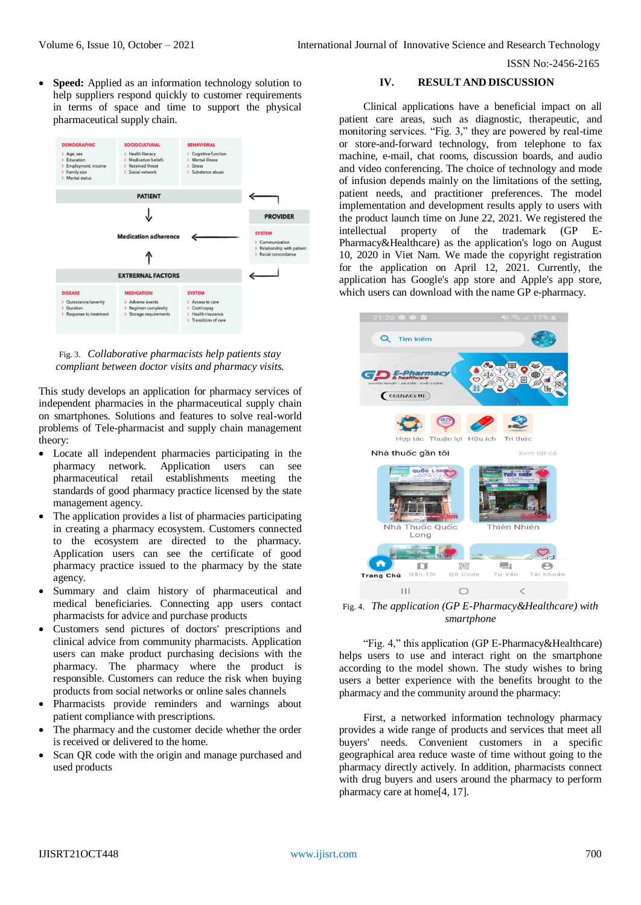**Speed:** Applied as an information technology solution to help suppliers respond quickly to customer requirements in terms of space and time to support the physical pharmaceutical supply chain.



Fig. 3. *Collaborative pharmacists help patients stay compliant between doctor visits and pharmacy visits.*

This study develops an application for pharmacy services of independent pharmacies in the pharmaceutical supply chain on smartphones. Solutions and features to solve real-world problems of Tele-pharmacist and supply chain management theory:

- Locate all independent pharmacies participating in the pharmacy network. Application users can see pharmaceutical retail establishments meeting the standards of good pharmacy practice licensed by the state management agency.
- The application provides a list of pharmacies participating in creating a pharmacy ecosystem. Customers connected to the ecosystem are directed to the pharmacy. Application users can see the certificate of good pharmacy practice issued to the pharmacy by the state agency.
- Summary and claim history of pharmaceutical and medical beneficiaries. Connecting app users contact pharmacists for advice and purchase products
- Customers send pictures of doctors' prescriptions and clinical advice from community pharmacists. Application users can make product purchasing decisions with the pharmacy. The pharmacy where the product is responsible. Customers can reduce the risk when buying products from social networks or online sales channels
- Pharmacists provide reminders and warnings about patient compliance with prescriptions.
- The pharmacy and the customer decide whether the order is received or delivered to the home.
- Scan QR code with the origin and manage purchased and used products

# **IV. RESULT AND DISCUSSION**

Clinical applications have a beneficial impact on all patient care areas, such as diagnostic, therapeutic, and monitoring services. "Fig. 3," they are powered by real-time or store-and-forward technology, from telephone to fax machine, e-mail, chat rooms, discussion boards, and audio and video conferencing. The choice of technology and mode of infusion depends mainly on the limitations of the setting, patient needs, and practitioner preferences. The model implementation and development results apply to users with the product launch time on June 22, 2021. We registered the intellectual property of the trademark (GP E-Pharmacy&Healthcare) as the application's logo on August 10, 2020 in Viet Nam. We made the copyright registration for the application on April 12, 2021. Currently, the application has Google's app store and Apple's app store, which users can download with the name GP e-pharmacy.



Fig. 4. *The application (GP E-Pharmacy&Healthcare) with smartphone*

"Fig. 4," this application (GP E-Pharmacy&Healthcare) helps users to use and interact right on the smartphone according to the model shown. The study wishes to bring users a better experience with the benefits brought to the pharmacy and the community around the pharmacy:

First, a networked information technology pharmacy provides a wide range of products and services that meet all buyers' needs. Convenient customers in a specific geographical area reduce waste of time without going to the pharmacy directly actively. In addition, pharmacists connect with drug buyers and users around the pharmacy to perform pharmacy care at home[4, 17].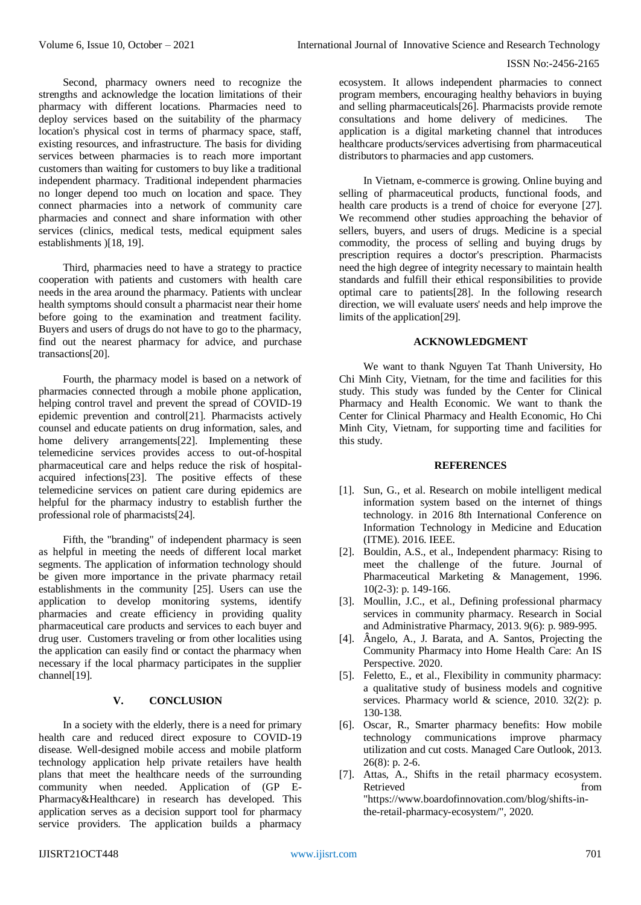Second, pharmacy owners need to recognize the strengths and acknowledge the location limitations of their pharmacy with different locations. Pharmacies need to deploy services based on the suitability of the pharmacy location's physical cost in terms of pharmacy space, staff, existing resources, and infrastructure. The basis for dividing services between pharmacies is to reach more important customers than waiting for customers to buy like a traditional independent pharmacy. Traditional independent pharmacies no longer depend too much on location and space. They connect pharmacies into a network of community care pharmacies and connect and share information with other services (clinics, medical tests, medical equipment sales establishments )[18, 19].

Third, pharmacies need to have a strategy to practice cooperation with patients and customers with health care needs in the area around the pharmacy. Patients with unclear health symptoms should consult a pharmacist near their home before going to the examination and treatment facility. Buyers and users of drugs do not have to go to the pharmacy, find out the nearest pharmacy for advice, and purchase transactions[20].

Fourth, the pharmacy model is based on a network of pharmacies connected through a mobile phone application, helping control travel and prevent the spread of COVID-19 epidemic prevention and control[21]. Pharmacists actively counsel and educate patients on drug information, sales, and home delivery arrangements<sup>[22]</sup>. Implementing these telemedicine services provides access to out-of-hospital pharmaceutical care and helps reduce the risk of hospitalacquired infections[23]. The positive effects of these telemedicine services on patient care during epidemics are helpful for the pharmacy industry to establish further the professional role of pharmacists[24].

Fifth, the "branding" of independent pharmacy is seen as helpful in meeting the needs of different local market segments. The application of information technology should be given more importance in the private pharmacy retail establishments in the community [25]. Users can use the application to develop monitoring systems, identify pharmacies and create efficiency in providing quality pharmaceutical care products and services to each buyer and drug user. Customers traveling or from other localities using the application can easily find or contact the pharmacy when necessary if the local pharmacy participates in the supplier channel[19].

# **V. CONCLUSION**

In a society with the elderly, there is a need for primary health care and reduced direct exposure to COVID-19 disease. Well-designed mobile access and mobile platform technology application help private retailers have health plans that meet the healthcare needs of the surrounding community when needed. Application of (GP E-Pharmacy&Healthcare) in research has developed. This application serves as a decision support tool for pharmacy service providers. The application builds a pharmacy

ecosystem. It allows independent pharmacies to connect program members, encouraging healthy behaviors in buying and selling pharmaceuticals[26]. Pharmacists provide remote consultations and home delivery of medicines. The application is a digital marketing channel that introduces healthcare products/services advertising from pharmaceutical distributors to pharmacies and app customers.

In Vietnam, e-commerce is growing. Online buying and selling of pharmaceutical products, functional foods, and health care products is a trend of choice for everyone [27]. We recommend other studies approaching the behavior of sellers, buyers, and users of drugs. Medicine is a special commodity, the process of selling and buying drugs by prescription requires a doctor's prescription. Pharmacists need the high degree of integrity necessary to maintain health standards and fulfill their ethical responsibilities to provide optimal care to patients[28]. In the following research direction, we will evaluate users' needs and help improve the limits of the application[29].

### **ACKNOWLEDGMENT**

We want to thank Nguyen Tat Thanh University, Ho Chi Minh City, Vietnam, for the time and facilities for this study. This study was funded by the Center for Clinical Pharmacy and Health Economic. We want to thank the Center for Clinical Pharmacy and Health Economic, Ho Chi Minh City, Vietnam, for supporting time and facilities for this study.

## **REFERENCES**

- [1]. Sun, G., et al. Research on mobile intelligent medical information system based on the internet of things technology. in 2016 8th International Conference on Information Technology in Medicine and Education (ITME). 2016. IEEE.
- [2]. Bouldin, A.S., et al., Independent pharmacy: Rising to meet the challenge of the future. Journal of Pharmaceutical Marketing & Management, 1996. 10(2-3): p. 149-166.
- [3]. Moullin, J.C., et al., Defining professional pharmacy services in community pharmacy. Research in Social and Administrative Pharmacy, 2013. 9(6): p. 989-995.
- [4]. Ângelo, A., J. Barata, and A. Santos, Projecting the Community Pharmacy into Home Health Care: An IS Perspective. 2020.
- [5]. Feletto, E., et al., Flexibility in community pharmacy: a qualitative study of business models and cognitive services. Pharmacy world & science, 2010. 32(2): p. 130-138.
- [6]. Oscar, R., Smarter pharmacy benefits: How mobile technology communications improve pharmacy utilization and cut costs. Managed Care Outlook, 2013. 26(8): p. 2-6.
- [7]. Attas, A., Shifts in the retail pharmacy ecosystem. Retrieved from the state of  $\sim$ "https://www.boardofinnovation.com/blog/shifts-inthe-retail-pharmacy-ecosystem/", 2020.